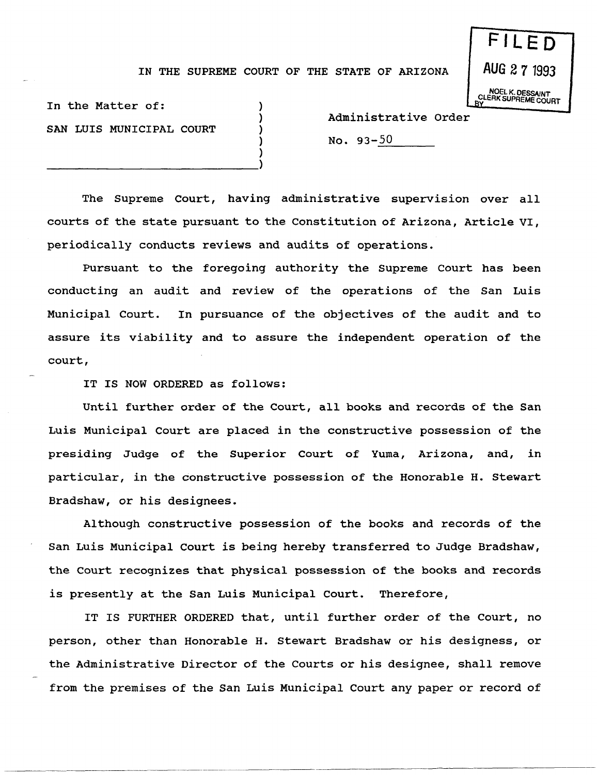## IN THE SUPREME COURT OF THE STATE OF ARIZONA

) ) ) ) )

**FILE 0 AUG** 271993 NOEL K. DESSAINT **BULERK SUPREME COURT** 

In the Matter of: SAN LUIS MUNICIPAL COURT

-----------------------------)

Administrative Order

 $No. 93-50$ 

The Supreme Court, having administrative supervision over all courts of the state pursuant to the Constitution of Arizona, Article VI, periodically conducts reviews and audits of operations.

Pursuant to the foregoing authority the Supreme Court has been conducting an audit and review of the operations of the San Luis Municipal Court. In pursuance of the objectives of the audit and to assure its viability and to assure the independent operation of the court,

IT IS NOW ORDERED as follows:

~-~------------- ~------~-------~~-~----

Until further order of the Court, all books and records of the San Luis Municipal Court are placed in the constructive possession of the presiding Judge of the Superior Court of Yuma, Arizona, and, in particular, in the constructive possession of the Honorable H. Stewart Bradshaw, or his designees.

Although constructive possession of the books and records of the San Luis Municipal Court is being hereby transferred to Judge Bradshaw, the Court recognizes that physical possession of the books and records is presently at the San Luis Municipal Court. Therefore,

IT IS FURTHER ORDERED that, until further order of the Court, no person, other than Honorable H. Stewart Bradshaw or his designess, or the Administrative Director of the Courts or his designee, shall remove from the premises of the San Luis Municipal Court any paper or record of